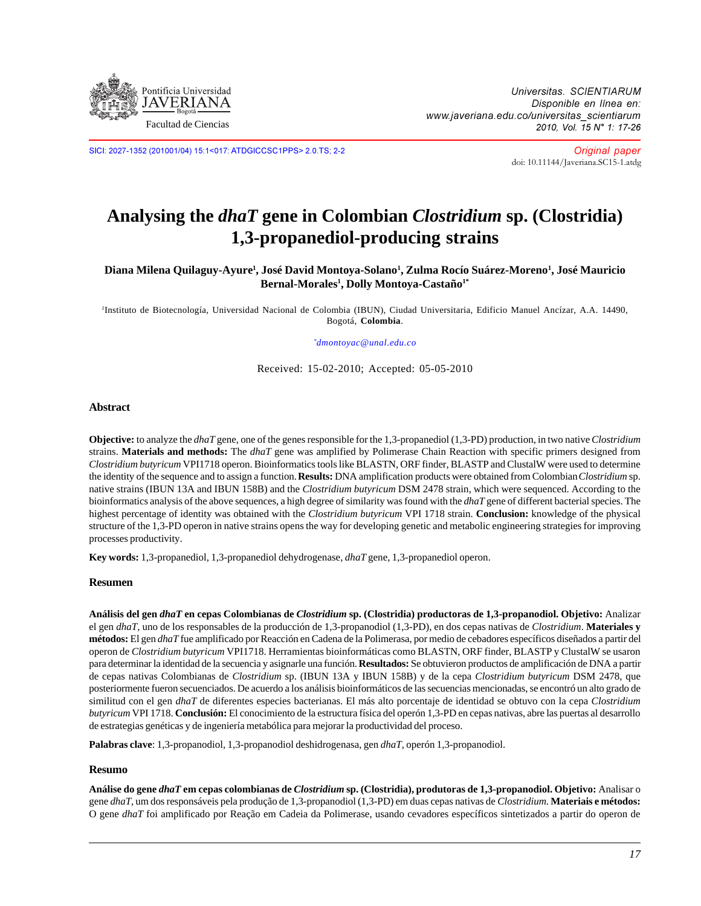

SICI: 2027-1352 (201001/04) 15:1<017: ATDGICCSC1PPS> 2.0.TS; 2-2

Original paper [doi: 10.11144/Javeriana.SC15-1.atdg](http://dx.doi.org/10.11144/javeriana.SC15-1.atdg)

# **Analysing the** *dhaT* **gene in Colombian** *Clostridium* **sp. (Clostridia) 1,3-propanediol-producing strains**

#### **Diana Milena Quilaguy-Ayure1 , José David Montoya-Solano1 , Zulma Rocío Suárez-Moreno1 , José Mauricio Bernal-Morales1 , Dolly Montoya-Castaño1\***

*1* Instituto de Biotecnología, Universidad Nacional de Colombia (IBUN), Ciudad Universitaria, Edificio Manuel Ancízar, A.A. 14490, Bogotá, **Colombia**.

*\* dmontoyac@unal.edu.co*

Received: 15-02-2010; Accepted: 05-05-2010

#### **Abstract**

**Objective:** to analyze the *dhaT* gene, one of the genes responsible for the 1,3-propanediol (1,3-PD) production, in two native *Clostridium* strains. **Materials and methods:** The *dhaT* gene was amplified by Polimerase Chain Reaction with specific primers designed from *Clostridium butyricum* VPI1718 operon. Bioinformatics tools like BLASTN, ORF finder, BLASTP and ClustalW were used to determine the identity of the sequence and to assign a function. **Results:** DNA amplification products were obtained from Colombian *Clostridium* sp. native strains (IBUN 13A and IBUN 158B) and the *Clostridium butyricum* DSM 2478 strain, which were sequenced. According to the bioinformatics analysis of the above sequences, a high degree of similarity was found with the *dhaT* gene of different bacterial species. The highest percentage of identity was obtained with the *Clostridium butyricum* VPI 1718 strain. **Conclusion:** knowledge of the physical structure of the 1,3-PD operon in native strains opens the way for developing genetic and metabolic engineering strategies for improving processes productivity.

**Key words:** 1,3-propanediol, 1,3-propanediol dehydrogenase, *dhaT* gene, 1,3-propanediol operon.

#### **Resumen**

**Análisis del gen** *dhaT* **en cepas Colombianas de** *Clostridium* **sp. (Clostridia) productoras de 1,3-propanodiol. Objetivo:** Analizar el gen *dhaT*, uno de los responsables de la producción de 1,3-propanodiol (1,3-PD), en dos cepas nativas de *Clostridium*. **Materiales y métodos:** El gen *dhaT* fue amplificado por Reacción en Cadena de la Polimerasa, por medio de cebadores específicos diseñados a partir del operon de *Clostridium butyricum* VPI1718. Herramientas bioinformáticas como BLASTN, ORF finder, BLASTP y ClustalW se usaron para determinar la identidad de la secuencia y asignarle una función. **Resultados:** Se obtuvieron productos de amplificación de DNA a partir de cepas nativas Colombianas de *Clostridium* sp. (IBUN 13A y IBUN 158B) y de la cepa *Clostridium butyricum* DSM 2478, que posteriormente fueron secuenciados. De acuerdo a los análisis bioinformáticos de las secuencias mencionadas, se encontró un alto grado de similitud con el gen *dhaT* de diferentes especies bacterianas. El más alto porcentaje de identidad se obtuvo con la cepa *Clostridium butyricum* VPI 1718. **Conclusión:** El conocimiento de la estructura física del operón 1,3-PD en cepas nativas, abre las puertas al desarrollo de estrategias genéticas y de ingeniería metabólica para mejorar la productividad del proceso.

**Palabras clave**: 1,3-propanodiol, 1,3-propanodiol deshidrogenasa, gen *dhaT*, operón 1,3-propanodiol.

#### **Resumo**

**Análise do gene** *dhaT* **em cepas colombianas de** *Clostridium* **sp. (Clostridia), produtoras de 1,3-propanodiol. Objetivo:** Analisar o gene *dhaT*, um dos responsáveis pela produção de 1,3-propanodiol (1,3-PD) em duas cepas nativas de *Clostridium*. **Materiais e métodos:** O gene *dhaT* foi amplificado por Reação em Cadeia da Polimerase, usando cevadores específicos sintetizados a partir do operon de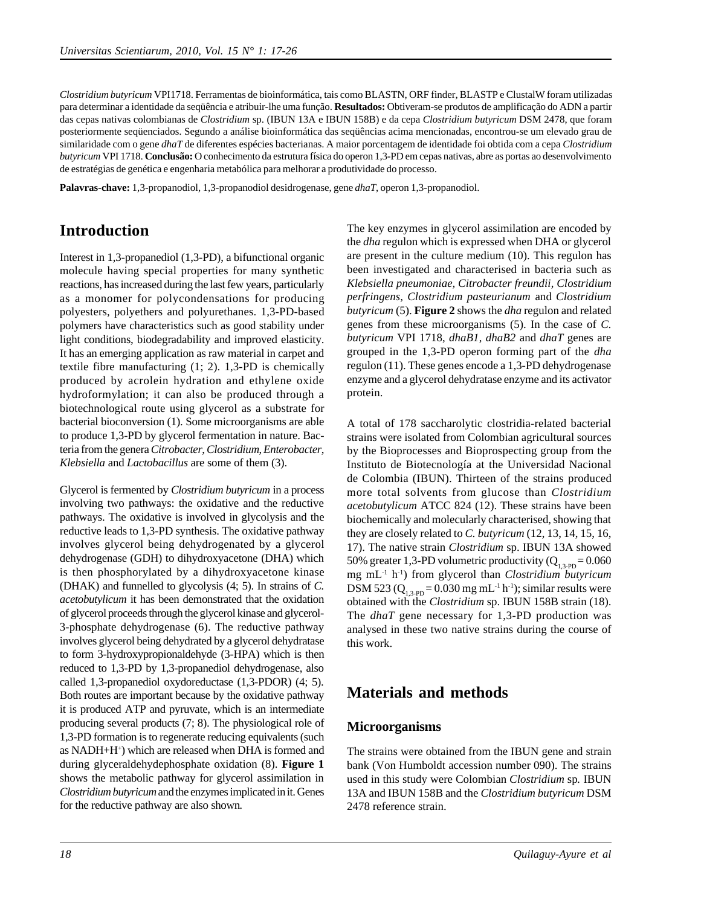*Clostridium butyricum* VPI1718. Ferramentas de bioinformática, tais como BLASTN, ORF finder, BLASTP e ClustalW foram utilizadas para determinar a identidade da seqüência e atribuir-lhe uma função. **Resultados:** Obtiveram-se produtos de amplificação do ADN a partir das cepas nativas colombianas de *Clostridium* sp. (IBUN 13A e IBUN 158B) e da cepa *Clostridium butyricum* DSM 2478, que foram posteriormente seqüenciados. Segundo a análise bioinformática das seqüências acima mencionadas, encontrou-se um elevado grau de similaridade com o gene *dhaT* de diferentes espécies bacterianas. A maior porcentagem de identidade foi obtida com a cepa *Clostridium butyricum* VPI 1718. **Conclusão:** O conhecimento da estrutura física do operon 1,3-PD em cepas nativas, abre as portas ao desenvolvimento de estratégias de genética e engenharia metabólica para melhorar a produtividade do processo.

**Palavras-chave:** 1,3-propanodiol, 1,3-propanodiol desidrogenase, gene *dhaT*, operon 1,3-propanodiol.

## **Introduction**

Interest in 1,3-propanediol (1,3-PD), a bifunctional organic molecule having special properties for many synthetic reactions, has increased during the last few years, particularly as a monomer for polycondensations for producing polyesters, polyethers and polyurethanes. 1,3-PD-based polymers have characteristics such as good stability under light conditions, biodegradability and improved elasticity. It has an emerging application as raw material in carpet and textile fibre manufacturing (1; 2). 1,3-PD is chemically produced by acrolein hydration and ethylene oxide hydroformylation; it can also be produced through a biotechnological route using glycerol as a substrate for bacterial bioconversion (1). Some microorganisms are able to produce 1,3-PD by glycerol fermentation in nature. Bacteria from the genera *Citrobacter*, *Clostridium*, *Enterobacter*, *Klebsiella* and *Lactobacillus* are some of them (3).

Glycerol is fermented by *Clostridium butyricum* in a process involving two pathways: the oxidative and the reductive pathways. The oxidative is involved in glycolysis and the reductive leads to 1,3-PD synthesis. The oxidative pathway involves glycerol being dehydrogenated by a glycerol dehydrogenase (GDH) to dihydroxyacetone (DHA) which is then phosphorylated by a dihydroxyacetone kinase (DHAK) and funnelled to glycolysis (4; 5). In strains of *C. acetobutylicum* it has been demonstrated that the oxidation of glycerol proceeds through the glycerol kinase and glycerol-3-phosphate dehydrogenase (6). The reductive pathway involves glycerol being dehydrated by a glycerol dehydratase to form 3-hydroxypropionaldehyde (3-HPA) which is then reduced to 1,3-PD by 1,3-propanediol dehydrogenase, also called 1,3-propanediol oxydoreductase (1,3-PDOR) (4; 5). Both routes are important because by the oxidative pathway it is produced ATP and pyruvate, which is an intermediate producing several products (7; 8). The physiological role of 1,3-PD formation is to regenerate reducing equivalents (such as NADH+H+ ) which are released when DHA is formed and during glyceraldehydephosphate oxidation (8). **Figure 1** shows the metabolic pathway for glycerol assimilation in *Clostridium butyricum* and the enzymes implicated in it. Genes for the reductive pathway are also shown*.*

The key enzymes in glycerol assimilation are encoded by the *dha* regulon which is expressed when DHA or glycerol are present in the culture medium (10). This regulon has been investigated and characterised in bacteria such as *Klebsiella pneumoniae, Citrobacter freundii, Clostridium perfringens, Clostridium pasteurianum* and *Clostridium butyricum* (5). **Figure 2** shows the *dha* regulon and related genes from these microorganisms (5). In the case of *C. butyricum* VPI 1718, *dhaB1*, *dhaB2* and *dhaT* genes are grouped in the 1,3-PD operon forming part of the *dha* regulon (11). These genes encode a 1,3-PD dehydrogenase enzyme and a glycerol dehydratase enzyme and its activator protein.

A total of 178 saccharolytic clostridia-related bacterial strains were isolated from Colombian agricultural sources by the Bioprocesses and Bioprospecting group from the Instituto de Biotecnología at the Universidad Nacional de Colombia (IBUN). Thirteen of the strains produced more total solvents from glucose than *Clostridium acetobutylicum* ATCC 824 (12). These strains have been biochemically and molecularly characterised, showing that they are closely related to *C. butyricum* (12, 13, 14, 15, 16, 17). The native strain *Clostridium* sp. IBUN 13A showed 50% greater 1,3-PD volumetric productivity  $(Q_{1,3\text{-}PD} = 0.060$ mg mL-1 h-1) from glycerol than *Clostridium butyricum* DSM 523 ( $Q_{1,3-PD} = 0.030$  mg mL<sup>-1</sup> h<sup>-1</sup>); similar results were obtained with the *Clostridium* sp. IBUN 158B strain (18). The *dhaT* gene necessary for 1,3-PD production was analysed in these two native strains during the course of this work.

## **Materials and methods**

### **Microorganisms**

The strains were obtained from the IBUN gene and strain bank (Von Humboldt accession number 090). The strains used in this study were Colombian *Clostridium* sp*.* IBUN 13A and IBUN 158B and the *Clostridium butyricum* DSM 2478 reference strain.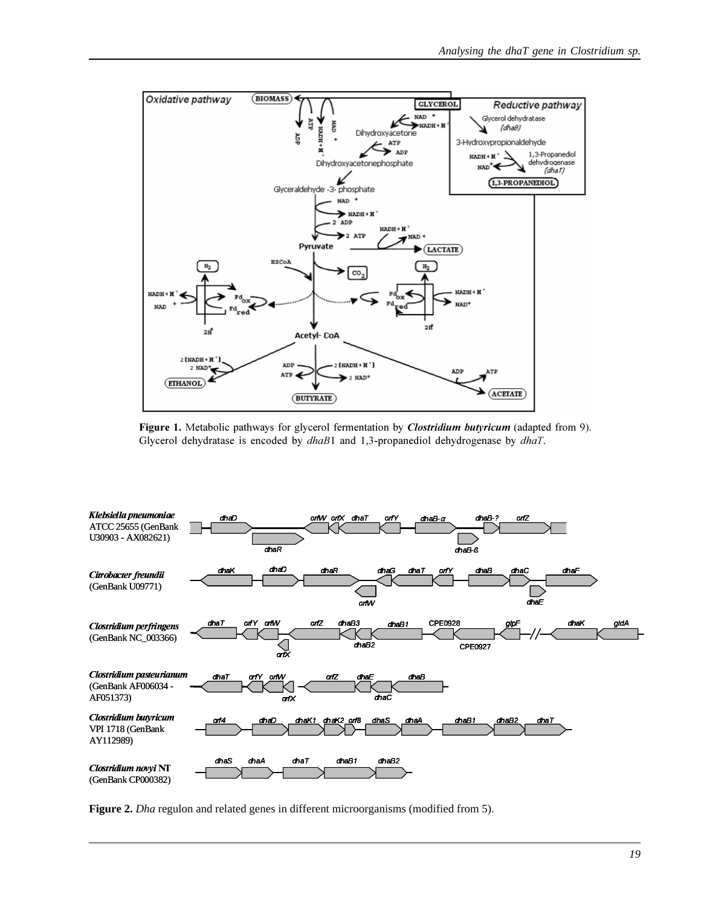

Figure 1. Metabolic pathways for glycerol fermentation by *Clostridium butyricum* (adapted from 9). Glycerol dehydratase is encoded by  $dhaB1$  and 1,3-propanediol dehydrogenase by  $dhaT$ .



**Figure 2.** *Dha* regulon and related genes in different microorganisms (modified from 5).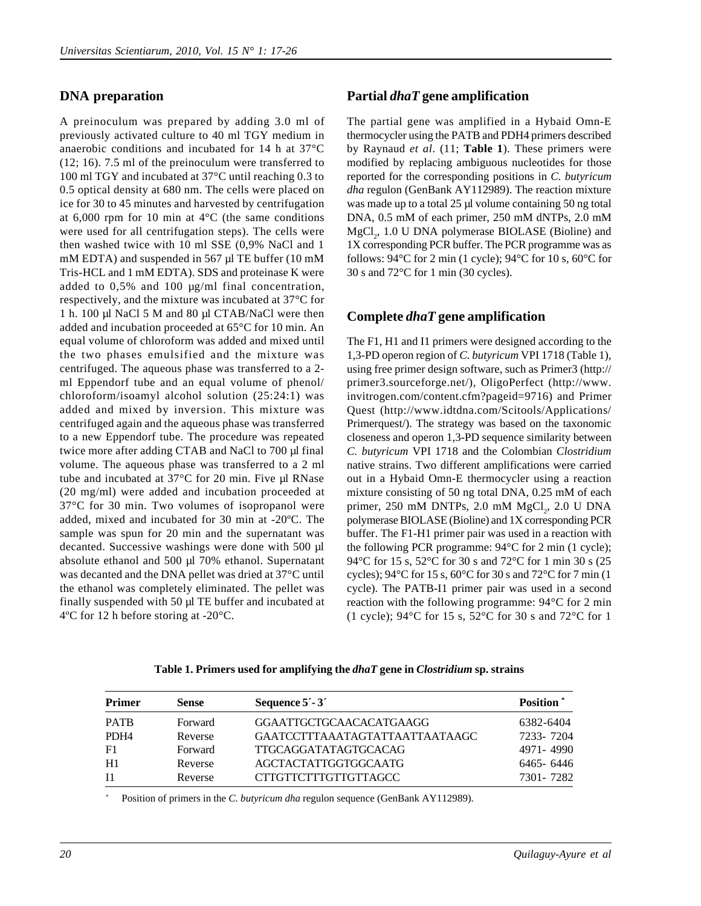### **DNA preparation**

A preinoculum was prepared by adding 3.0 ml of previously activated culture to 40 ml TGY medium in anaerobic conditions and incubated for 14 h at 37°C (12; 16). 7.5 ml of the preinoculum were transferred to 100 ml TGY and incubated at 37°C until reaching 0.3 to 0.5 optical density at 680 nm. The cells were placed on ice for 30 to 45 minutes and harvested by centrifugation at  $6,000$  rpm for 10 min at  $4^{\circ}$ C (the same conditions were used for all centrifugation steps). The cells were then washed twice with 10 ml SSE (0,9% NaCl and 1 mM EDTA) and suspended in 567 µl TE buffer (10 mM Tris-HCL and 1 mM EDTA). SDS and proteinase K were added to 0,5% and 100 µg/ml final concentration, respectively, and the mixture was incubated at 37°C for 1 h. 100 µl NaCl 5 M and 80 µl CTAB/NaCl were then added and incubation proceeded at 65°C for 10 min. An equal volume of chloroform was added and mixed until the two phases emulsified and the mixture was centrifuged. The aqueous phase was transferred to a 2 ml Eppendorf tube and an equal volume of phenol/ chloroform/isoamyl alcohol solution (25:24:1) was added and mixed by inversion. This mixture was centrifuged again and the aqueous phase was transferred to a new Eppendorf tube. The procedure was repeated twice more after adding CTAB and NaCl to 700 µl final volume. The aqueous phase was transferred to a 2 ml tube and incubated at  $37^{\circ}$ C for 20 min. Five µl RNase (20 mg/ml) were added and incubation proceeded at 37°C for 30 min. Two volumes of isopropanol were added, mixed and incubated for 30 min at -20ºC. The sample was spun for 20 min and the supernatant was decanted. Successive washings were done with 500 µl absolute ethanol and 500 µl 70% ethanol. Supernatant was decanted and the DNA pellet was dried at 37°C until the ethanol was completely eliminated. The pellet was finally suspended with 50 µl TE buffer and incubated at 4ºC for 12 h before storing at -20°C.

#### **Partial** *dhaT* **gene amplification**

The partial gene was amplified in a Hybaid Omn-E thermocycler using the PATB and PDH4 primers described by Raynaud *et al*. (11; **Table 1**). These primers were modified by replacing ambiguous nucleotides for those reported for the corresponding positions in *C. butyricum dha* regulon (GenBank AY112989). The reaction mixture was made up to a total 25 µl volume containing 50 ng total DNA, 0.5 mM of each primer, 250 mM dNTPs, 2.0 mM  $MgCl<sub>2</sub>$ , 1.0 U DNA polymerase BIOLASE (Bioline) and 1X corresponding PCR buffer. The PCR programme was as follows:  $94^{\circ}$ C for 2 min (1 cycle);  $94^{\circ}$ C for 10 s,  $60^{\circ}$ C for 30 s and 72°C for 1 min (30 cycles).

#### **Complete** *dhaT* **gene amplification**

The F1, H1 and I1 primers were designed according to the 1,3-PD operon region of *C. butyricum* VPI 1718 (Table 1), using free primer design software, such as Primer3 (http:// primer3.sourceforge.net/), OligoPerfect (http://www. invitrogen.com/content.cfm?pageid=9716) and Primer Quest (http://www.idtdna.com/Scitools/Applications/ Primerquest/). The strategy was based on the taxonomic closeness and operon 1,3-PD sequence similarity between *C. butyricum* VPI 1718 and the Colombian *Clostridium* native strains. Two different amplifications were carried out in a Hybaid Omn-E thermocycler using a reaction mixture consisting of 50 ng total DNA, 0.25 mM of each primer, 250 mM DNTPs, 2.0 mM  $MgCl<sub>2</sub>$ , 2.0 U DNA polymerase BIOLASE (Bioline) and 1X corresponding PCR buffer. The F1-H1 primer pair was used in a reaction with the following PCR programme: 94°C for 2 min (1 cycle); 94°C for 15 s, 52°C for 30 s and 72°C for 1 min 30 s (25 cycles); 94°C for 15 s, 60°C for 30 s and 72°C for 7 min (1 cycle). The PATB-I1 primer pair was used in a second reaction with the following programme: 94°C for 2 min (1 cycle); 94°C for 15 s, 52°C for 30 s and 72°C for 1

| <b>Primer</b>    | <b>Sense</b> | Sequence $5^{\prime}$ - $3^{\prime}$ | <b>Position</b> |  |
|------------------|--------------|--------------------------------------|-----------------|--|
| <b>PATB</b>      | Forward      | GGAATTGCTGCAACACATGAAGG              | 6382-6404       |  |
| PDH <sub>4</sub> | Reverse      | GAATCCTTTAAATAGTATTAATTAATAAGC       | 7233-7204       |  |
| F1               | Forward      | <b>TTGCAGGATATAGTGCACAG</b>          | 4971-4990       |  |
| H1               | Reverse      | <b>AGCTACTATTGGTGGCAATG</b>          | 6465-6446       |  |
| <b>I</b> 1       | Reverse      | <b>CTTGTTCTTTGTTGTTAGCC</b>          | 7301-7282       |  |

**Table 1. Primers used for amplifying the** *dhaT* **gene in** *Clostridium* **sp. strains**

Position of primers in the *C. butyricum dha* regulon sequence (GenBank AY112989).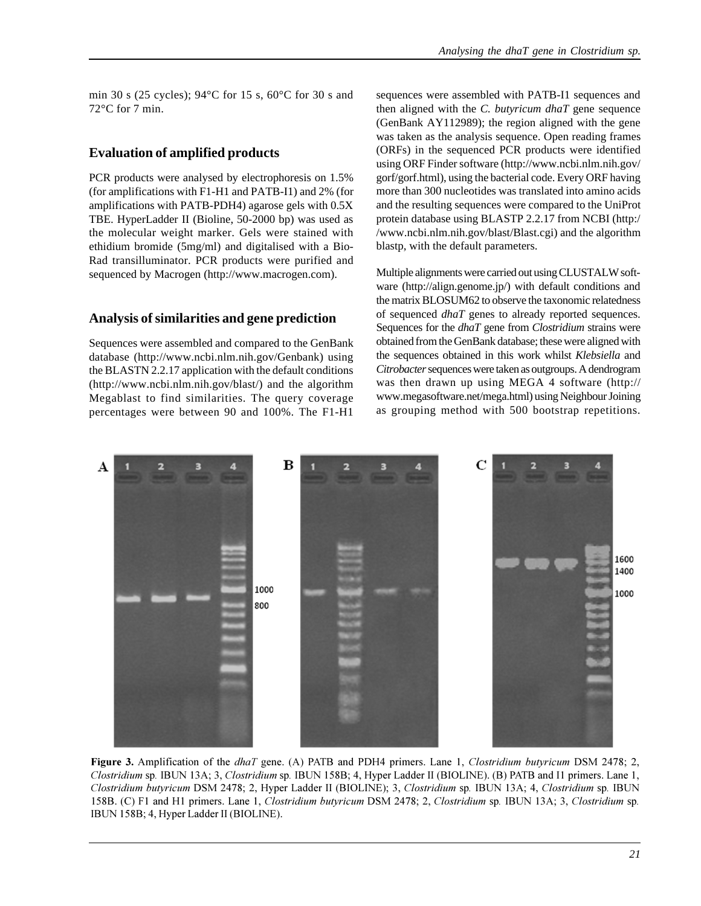min 30 s (25 cycles); 94°C for 15 s, 60°C for 30 s and 72°C for 7 min.

#### **Evaluation of amplified products**

PCR products were analysed by electrophoresis on 1.5% (for amplifications with F1-H1 and PATB-I1) and 2% (for amplifications with PATB-PDH4) agarose gels with 0.5X TBE. HyperLadder II (Bioline, 50-2000 bp) was used as the molecular weight marker. Gels were stained with ethidium bromide (5mg/ml) and digitalised with a Bio-Rad transilluminator. PCR products were purified and sequenced by Macrogen (http://www.macrogen.com).

#### **Analysis of similarities and gene prediction**

Sequences were assembled and compared to the GenBank database (http://www.ncbi.nlm.nih.gov/Genbank) using the BLASTN 2.2.17 application with the default conditions (http://www.ncbi.nlm.nih.gov/blast/) and the algorithm Megablast to find similarities. The query coverage percentages were between 90 and 100%. The F1-H1

sequences were assembled with PATB-I1 sequences and then aligned with the *C. butyricum dhaT* gene sequence (GenBank AY112989); the region aligned with the gene was taken as the analysis sequence. Open reading frames (ORFs) in the sequenced PCR products were identified using ORF Finder software (http://www.ncbi.nlm.nih.gov/ gorf/gorf.html), using the bacterial code. Every ORF having more than 300 nucleotides was translated into amino acids and the resulting sequences were compared to the UniProt protein database using BLASTP 2.2.17 from NCBI (http:/ /www.ncbi.nlm.nih.gov/blast/Blast.cgi) and the algorithm blastp, with the default parameters.

Multiple alignments were carried out using CLUSTALW software (http://align.genome.jp/) with default conditions and the matrix BLOSUM62 to observe the taxonomic relatedness of sequenced *dhaT* genes to already reported sequences. Sequences for the *dhaT* gene from *Clostridium* strains were obtained from the GenBank database; these were aligned with the sequences obtained in this work whilst *Klebsiella* and *Citrobacter* sequences were taken as outgroups. A dendrogram was then drawn up using MEGA 4 software (http:// www.megasoftware.net/mega.html) using Neighbour Joining as grouping method with 500 bootstrap repetitions.



Figure 3. Amplification of the *dhaT* gene. (A) PATB and PDH4 primers. Lane 1, *Clostridium butyricum* DSM 2478; 2, Clostridium sp. IBUN 13A; 3, Clostridium sp. IBUN 158B; 4, Hyper Ladder II (BIOLINE). (B) PATB and I1 primers. Lane 1, Clostridium butyricum DSM 2478; 2, Hyper Ladder II (BIOLINE); 3, Clostridium sp. IBUN 13A; 4, Clostridium sp. IBUN 158B. (C) F1 and H1 primers. Lane 1, Clostridium butyricum DSM 2478; 2, Clostridium sp. IBUN 13A; 3, Clostridium sp. IBUN 158B; 4, Hyper Ladder II (BIOLINE).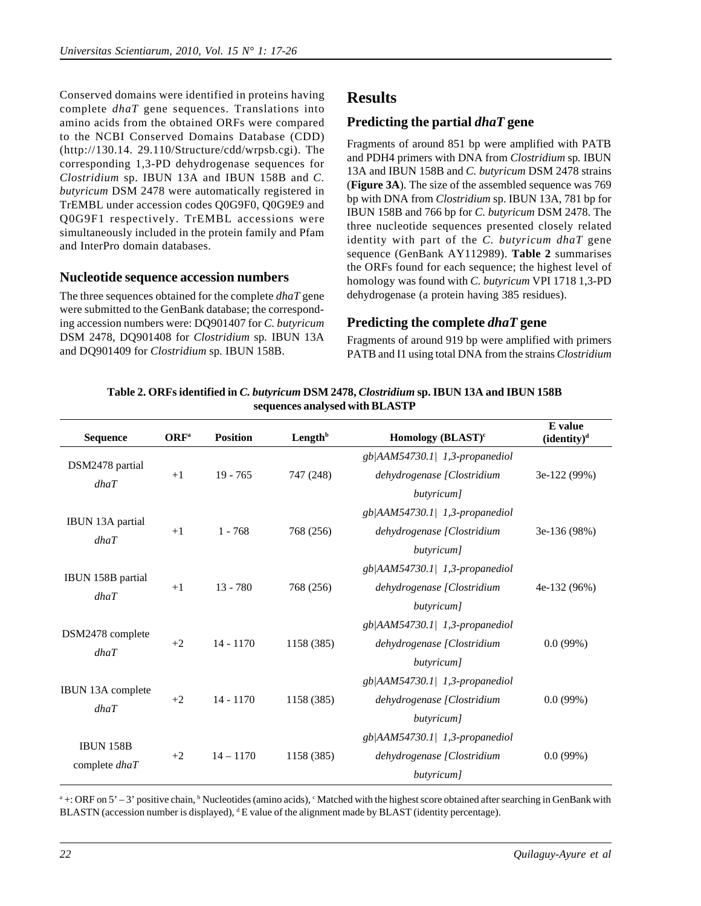Conserved domains were identified in proteins having complete *dhaT* gene sequences. Translations into amino acids from the obtained ORFs were compared to the NCBI Conserved Domains Database (CDD) (http://130.14. 29.110/Structure/cdd/wrpsb.cgi). The corresponding 1,3-PD dehydrogenase sequences for *Clostridium* sp. IBUN 13A and IBUN 158B and *C. butyricum* DSM 2478 were automatically registered in TrEMBL under accession codes Q0G9F0, Q0G9E9 and Q0G9F1 respectively. TrEMBL accessions were simultaneously included in the protein family and Pfam and InterPro domain databases.

### **Nucleotide sequence accession numbers**

The three sequences obtained for the complete *dhaT* gene were submitted to the GenBank database; the corresponding accession numbers were: DQ901407 for *C. butyricum* DSM 2478, DQ901408 for *Clostridium* sp*.* IBUN 13A and DQ901409 for *Clostridium* sp*.* IBUN 158B.

## **Results**

### **Predicting the partial** *dhaT* **gene**

Fragments of around 851 bp were amplified with PATB and PDH4 primers with DNA from *Clostridium* sp*.* IBUN 13A and IBUN 158B and *C. butyricum* DSM 2478 strains (**Figure 3A**). The size of the assembled sequence was 769 bp with DNA from *Clostridium* sp. IBUN 13A, 781 bp for IBUN 158B and 766 bp for *C. butyricum* DSM 2478. The three nucleotide sequences presented closely related identity with part of the *C. butyricum dhaT* gene sequence (GenBank AY112989). **Table 2** summarises the ORFs found for each sequence; the highest level of homology was found with *C. butyricum* VPI 1718 1,3-PD dehydrogenase (a protein having 385 residues).

### **Predicting the complete** *dhaT* **gene**

Fragments of around 919 bp were amplified with primers PATB and I1 using total DNA from the strains *Clostridium*

| <b>Sequence</b>          | ORF <sup>a</sup> | <b>Position</b> | Length <sup>b</sup> | Homology (BLAST) <sup>c</sup>     | E value<br>(identity) <sup>d</sup> |
|--------------------------|------------------|-----------------|---------------------|-----------------------------------|------------------------------------|
|                          |                  |                 |                     | $gb AAM54730.1 1,3-propanediol$   |                                    |
| DSM2478 partial<br>dhaT  | $+1$             | $19 - 765$      | 747 (248)           | dehydrogenase [Clostridium        | 3e-122 (99%)                       |
|                          |                  |                 |                     | butyricum]                        |                                    |
|                          |                  | $1 - 768$       | 768 (256)           | gb/AAM54730.1/ 1,3-propanediol    | 3e-136 (98%)                       |
| IBUN 13A partial         | $+1$             |                 |                     | dehydrogenase [Clostridium        |                                    |
| dhaT                     |                  |                 |                     | butyricum]                        |                                    |
|                          |                  | $13 - 780$      |                     | gb/AAM54730.1/ 1,3-propanediol    | 4e-132 (96%)                       |
| IBUN 158B partial        | $+1$             |                 | 768 (256)           | dehydrogenase [Clostridium        |                                    |
| dhaT                     |                  |                 |                     | butyricum]                        |                                    |
|                          | $+2$             | $14 - 1170$     | 1158 (385)          | gb/AAM54730.1/ 1,3-propanediol    | 0.0(99%)                           |
| DSM2478 complete         |                  |                 |                     | dehydrogenase [Clostridium        |                                    |
| dhaT                     |                  |                 |                     | butyricum]                        |                                    |
|                          |                  |                 |                     | $gb$  AAM54730.1  1,3-propanediol |                                    |
| <b>IBUN 13A complete</b> | $+2$             | $14 - 1170$     | 1158 (385)          | dehydrogenase [Clostridium        | $0.0(99\%)$                        |
| dhaT                     |                  |                 |                     | butyricum]                        |                                    |
|                          | $+2$             | $14 - 1170$     | 1158 (385)          | gb/AAM54730.1/ 1,3-propanediol    | 0.0(99%)                           |
| <b>IBUN 158B</b>         |                  |                 |                     | dehydrogenase [Clostridium        |                                    |
| complete $dhaT$          |                  |                 |                     | butyricum]                        |                                    |

**Table 2. ORFs identified in** *C. butyricum* **DSM 2478,** *Clostridium* **sp. IBUN 13A and IBUN 158B sequences analysed with BLASTP**

 $a +$ : ORF on 5' – 3' positive chain,  $b$  Nucleotides (amino acids),  $c$  Matched with the highest score obtained after searching in GenBank with BLASTN (accession number is displayed), <sup>d</sup> E value of the alignment made by BLAST (identity percentage).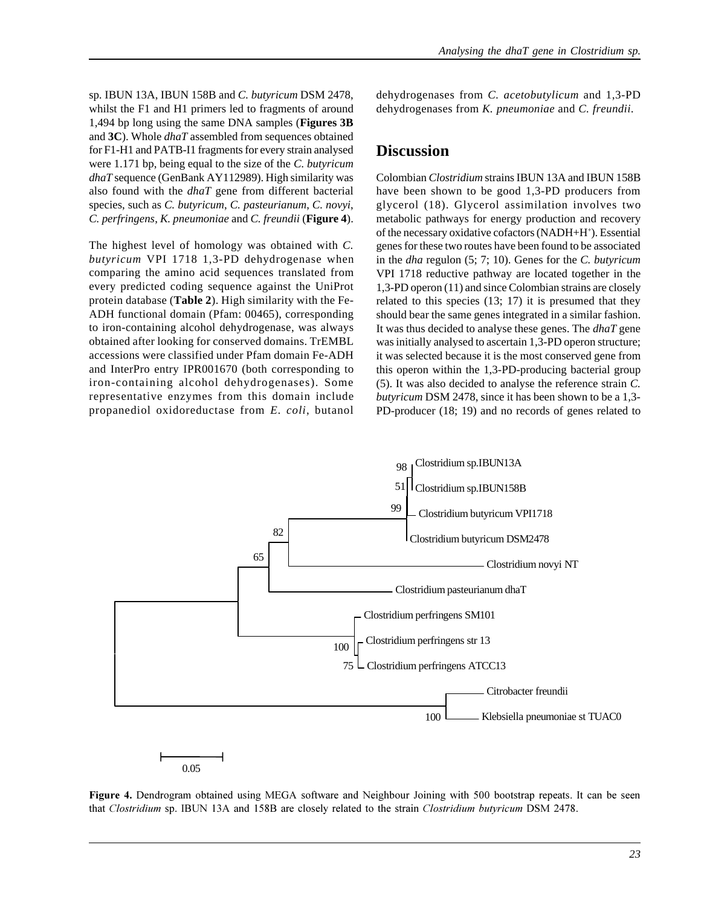*Analysing the dhaT gene in Clostridium sp.*

sp*.* IBUN 13A, IBUN 158B and *C. butyricum* DSM 2478, whilst the F1 and H1 primers led to fragments of around 1,494 bp long using the same DNA samples (**Figures 3B** and **3C**). Whole *dhaT* assembled from sequences obtained for F1-H1 and PATB-I1 fragments for every strain analysed were 1.171 bp, being equal to the size of the *C. butyricum dhaT* sequence (GenBank AY112989). High similarity was also found with the *dhaT* gene from different bacterial species, such as *C. butyricum*, *C. pasteurianum*, *C. novyi*, *C. perfringens*, *K. pneumoniae* and *C. freundii* (**Figure 4**).

The highest level of homology was obtained with *C. butyricum* VPI 1718 1,3-PD dehydrogenase when comparing the amino acid sequences translated from every predicted coding sequence against the UniProt protein database (**Table 2**). High similarity with the Fe-ADH functional domain (Pfam: 00465), corresponding to iron-containing alcohol dehydrogenase, was always obtained after looking for conserved domains. TrEMBL accessions were classified under Pfam domain Fe-ADH and InterPro entry IPR001670 (both corresponding to iron-containing alcohol dehydrogenases). Some representative enzymes from this domain include propanediol oxidoreductase from *E. coli*, butanol dehydrogenases from *C. acetobutylicum* and 1,3-PD dehydrogenases from *K. pneumoniae* and *C. freundii*.

### **Discussion**

Colombian *Clostridium* strains IBUN 13A and IBUN 158B have been shown to be good 1,3-PD producers from glycerol (18). Glycerol assimilation involves two metabolic pathways for energy production and recovery of the necessary oxidative cofactors (NADH+H<sup>+</sup>). Essential genes for these two routes have been found to be associated in the *dha* regulon (5; 7; 10). Genes for the *C. butyricum* VPI 1718 reductive pathway are located together in the 1,3-PD operon (11) and since Colombian strains are closely related to this species (13; 17) it is presumed that they should bear the same genes integrated in a similar fashion. It was thus decided to analyse these genes. The *dhaT* gene was initially analysed to ascertain 1,3-PD operon structure; it was selected because it is the most conserved gene from this operon within the 1,3-PD-producing bacterial group (5). It was also decided to analyse the reference strain *C. butyricum* DSM 2478, since it has been shown to be a 1,3- PD-producer (18; 19) and no records of genes related to



Figure 4. Dendrogram obtained using MEGA software and Neighbour Joining with 500 bootstrap repeats. It can be seen that Clostridium sp. IBUN 13A and 158B are closely related to the strain Clostridium butyricum DSM 2478.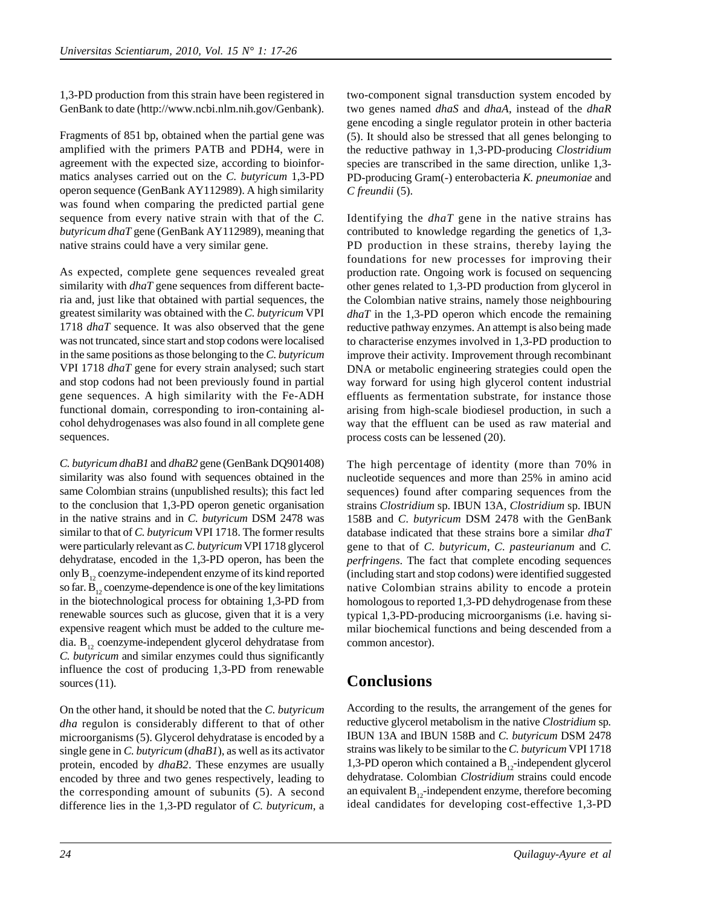1,3-PD production from this strain have been registered in GenBank to date (http://www.ncbi.nlm.nih.gov/Genbank).

Fragments of 851 bp, obtained when the partial gene was amplified with the primers PATB and PDH4, were in agreement with the expected size, according to bioinformatics analyses carried out on the *C. butyricum* 1,3-PD operon sequence (GenBank AY112989). A high similarity was found when comparing the predicted partial gene sequence from every native strain with that of the *C. butyricum dhaT* gene (GenBank AY112989), meaning that native strains could have a very similar gene.

As expected, complete gene sequences revealed great similarity with *dhaT* gene sequences from different bacteria and, just like that obtained with partial sequences, the greatest similarity was obtained with the *C. butyricum* VPI 1718 *dhaT* sequence. It was also observed that the gene was not truncated, since start and stop codons were localised in the same positions as those belonging to the *C. butyricum* VPI 1718 *dhaT* gene for every strain analysed; such start and stop codons had not been previously found in partial gene sequences. A high similarity with the Fe-ADH functional domain, corresponding to iron-containing alcohol dehydrogenases was also found in all complete gene sequences.

*C. butyricum dhaB1* and *dhaB2* gene (GenBank DQ901408) similarity was also found with sequences obtained in the same Colombian strains (unpublished results); this fact led to the conclusion that 1,3-PD operon genetic organisation in the native strains and in *C. butyricum* DSM 2478 was similar to that of *C. butyricum* VPI 1718. The former results were particularly relevant as *C. butyricum* VPI 1718 glycerol dehydratase, encoded in the 1,3-PD operon, has been the only  $B_{12}$  coenzyme-independent enzyme of its kind reported so far.  $B_{12}$  coenzyme-dependence is one of the key limitations in the biotechnological process for obtaining 1,3-PD from renewable sources such as glucose, given that it is a very expensive reagent which must be added to the culture media.  $B_{12}$  coenzyme-independent glycerol dehydratase from *C. butyricum* and similar enzymes could thus significantly influence the cost of producing 1,3-PD from renewable sources  $(11)$ .

On the other hand, it should be noted that the *C. butyricum dha* regulon is considerably different to that of other microorganisms (5). Glycerol dehydratase is encoded by a single gene in *C. butyricum* (*dhaB1*), as well as its activator protein, encoded by *dhaB2*. These enzymes are usually encoded by three and two genes respectively, leading to the corresponding amount of subunits (5). A second difference lies in the 1,3-PD regulator of *C. butyricum*, a

two-component signal transduction system encoded by two genes named *dhaS* and *dhaA*, instead of the *dhaR* gene encoding a single regulator protein in other bacteria (5). It should also be stressed that all genes belonging to the reductive pathway in 1,3-PD-producing *Clostridium* species are transcribed in the same direction*,* unlike 1,3- PD-producing Gram(-) enterobacteria *K. pneumoniae* and *C freundii* (5).

Identifying the *dhaT* gene in the native strains has contributed to knowledge regarding the genetics of 1,3- PD production in these strains, thereby laying the foundations for new processes for improving their production rate. Ongoing work is focused on sequencing other genes related to 1,3-PD production from glycerol in the Colombian native strains, namely those neighbouring *dhaT* in the 1,3-PD operon which encode the remaining reductive pathway enzymes. An attempt is also being made to characterise enzymes involved in 1,3-PD production to improve their activity. Improvement through recombinant DNA or metabolic engineering strategies could open the way forward for using high glycerol content industrial effluents as fermentation substrate, for instance those arising from high-scale biodiesel production, in such a way that the effluent can be used as raw material and process costs can be lessened (20).

The high percentage of identity (more than 70% in nucleotide sequences and more than 25% in amino acid sequences) found after comparing sequences from the strains *Clostridium* sp. IBUN 13A, *Clostridium* sp. IBUN 158B and *C. butyricum* DSM 2478 with the GenBank database indicated that these strains bore a similar *dhaT* gene to that of *C. butyricum*, *C. pasteurianum* and *C. perfringens*. The fact that complete encoding sequences (including start and stop codons) were identified suggested native Colombian strains ability to encode a protein homologous to reported 1,3-PD dehydrogenase from these typical 1,3-PD-producing microorganisms (i.e. having similar biochemical functions and being descended from a common ancestor).

## **Conclusions**

According to the results, the arrangement of the genes for reductive glycerol metabolism in the native *Clostridium* sp*.* IBUN 13A and IBUN 158B and *C. butyricum* DSM 2478 strains was likely to be similar to the *C. butyricum* VPI 1718 1,3-PD operon which contained a  $B_{12}$ -independent glycerol dehydratase. Colombian *Clostridium* strains could encode an equivalent  $B_{12}$ -independent enzyme, therefore becoming ideal candidates for developing cost-effective 1,3-PD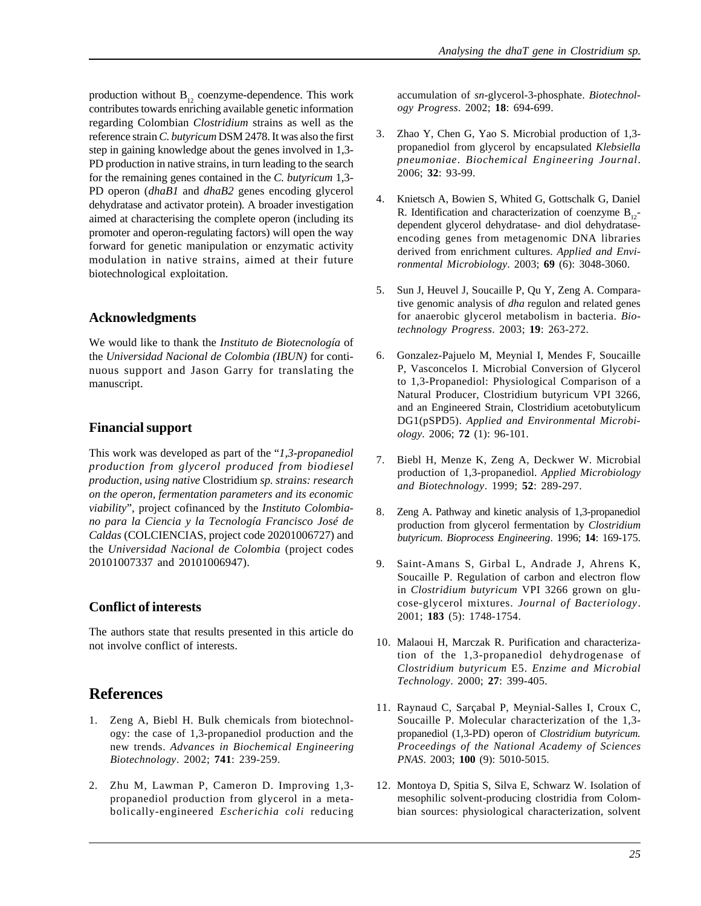production without  $B_{12}$  coenzyme-dependence. This work contributes towards enriching available genetic information regarding Colombian *Clostridium* strains as well as the reference strain *C. butyricum* DSM 2478. It was also the first step in gaining knowledge about the genes involved in 1,3- PD production in native strains, in turn leading to the search for the remaining genes contained in the *C. butyricum* 1,3- PD operon (*dhaB1* and *dhaB2* genes encoding glycerol dehydratase and activator protein)*.* A broader investigation aimed at characterising the complete operon (including its promoter and operon-regulating factors) will open the way forward for genetic manipulation or enzymatic activity modulation in native strains, aimed at their future biotechnological exploitation.

### **Acknowledgments**

We would like to thank the *Instituto de Biotecnología* of the *Universidad Nacional de Colombia (IBUN)* for continuous support and Jason Garry for translating the manuscript.

### **Financial support**

This work was developed as part of the "*1,3-propanediol production from glycerol produced from biodiesel production, using native* Clostridium *sp. strains: research on the operon, fermentation parameters and its economic viability*", project cofinanced by the *Instituto Colombiano para la Ciencia y la Tecnología Francisco José de Caldas* (COLCIENCIAS, project code 20201006727) and the *Universidad Nacional de Colombia* (project codes 20101007337 and 20101006947).

### **Conflict of interests**

The authors state that results presented in this article do not involve conflict of interests.

## **References**

- 1. Zeng A, Biebl H. Bulk chemicals from biotechnology: the case of 1,3-propanediol production and the new trends. *Advances in Biochemical Engineering Biotechnology*. 2002; **741**: 239-259.
- 2. Zhu M, Lawman P, Cameron D. Improving 1,3 propanediol production from glycerol in a metabolically-engineered *Escherichia coli* reducing

accumulation of *sn-*glycerol-3-phosphate. *Biotechnology Progress*. 2002; **18**: 694-699.

- 3. Zhao Y, Chen G, Yao S. Microbial production of 1,3 propanediol from glycerol by encapsulated *Klebsiella pneumoniae*. *Biochemical Engineering Journal*. 2006; **32**: 93-99.
- 4. Knietsch A, Bowien S, Whited G, Gottschalk G, Daniel R. Identification and characterization of coenzyme  $B_{12}$ dependent glycerol dehydratase- and diol dehydrataseencoding genes from metagenomic DNA libraries derived from enrichment cultures. *Applied and Environmental Microbiology*. 2003; **69** (6): 3048-3060.
- 5. Sun J, Heuvel J, Soucaille P, Qu Y, Zeng A. Comparative genomic analysis of *dha* regulon and related genes for anaerobic glycerol metabolism in bacteria. *Biotechnology Progress*. 2003; **19**: 263-272.
- 6. Gonzalez-Pajuelo M, Meynial I, Mendes F, Soucaille P, Vasconcelos I. Microbial Conversion of Glycerol to 1,3-Propanediol: Physiological Comparison of a Natural Producer, Clostridium butyricum VPI 3266, and an Engineered Strain, Clostridium acetobutylicum DG1(pSPD5). *Applied and Environmental Microbiology*. 2006; **72** (1): 96-101.
- 7. Biebl H, Menze K, Zeng A, Deckwer W. Microbial production of 1,3-propanediol. *Applied Microbiology and Biotechnology*. 1999; **52**: 289-297.
- 8. Zeng A. Pathway and kinetic analysis of 1,3-propanediol production from glycerol fermentation by *Clostridium butyricum*. *Bioprocess Engineering*. 1996; **14**: 169-175.
- 9. Saint-Amans S, Girbal L, Andrade J, Ahrens K, Soucaille P. Regulation of carbon and electron flow in *Clostridium butyricum* VPI 3266 grown on glucose-glycerol mixtures. *Journal of Bacteriology*. 2001; **183** (5): 1748-1754.
- 10. Malaoui H, Marczak R. Purification and characterization of the 1,3-propanediol dehydrogenase of *Clostridium butyricum* E5. *Enzime and Microbial Technology*. 2000; **27**: 399-405.
- 11. Raynaud C, Sarçabal P, Meynial-Salles I, Croux C, Soucaille P. Molecular characterization of the 1,3 propanediol (1,3-PD) operon of *Clostridium butyricum. Proceedings of the National Academy of Sciences PNAS*. 2003; **100** (9): 5010-5015.
- 12. Montoya D, Spitia S, Silva E, Schwarz W. Isolation of mesophilic solvent-producing clostridia from Colombian sources: physiological characterization, solvent